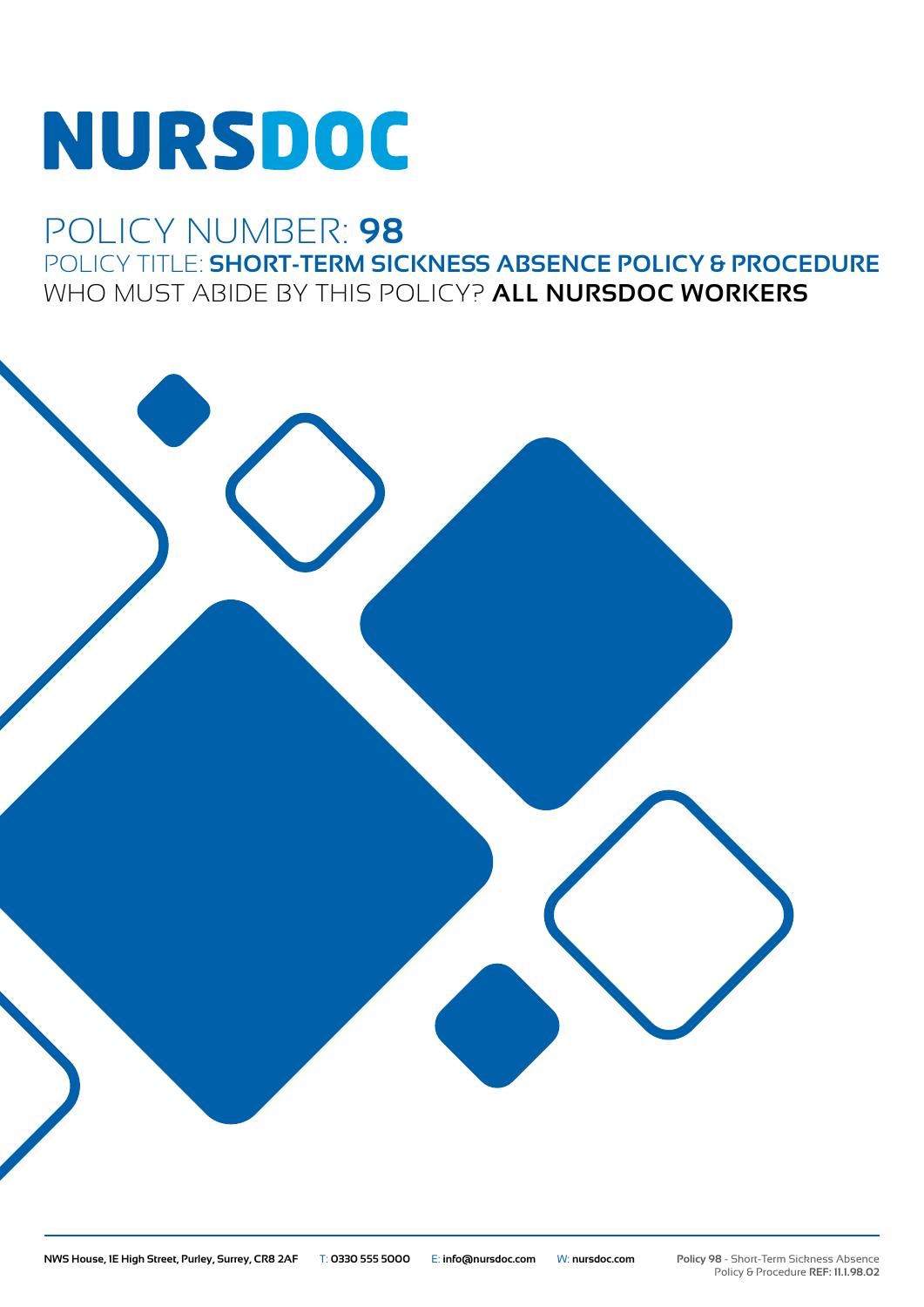# **NURSDOC**

## POLICY NUMBER: **98** POLICY TITLE: **SHORT-TERM SICKNESS ABSENCE POLICY & PROCEDURE** WHO MUST ABIDE BY THIS POLICY? **ALL NURSDOC WORKERS**

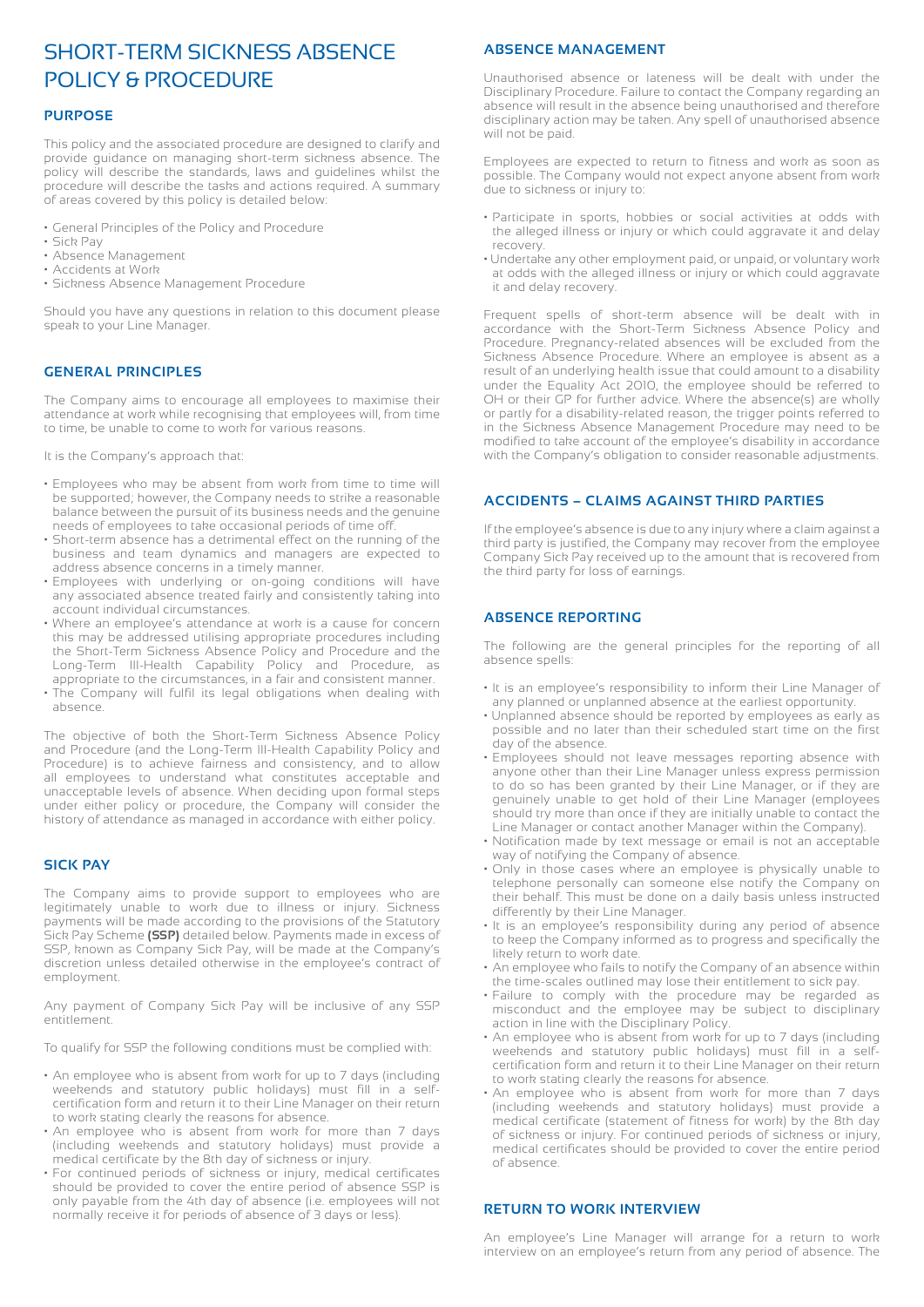### SHORT-TERM SICKNESS ABSENCE POLICY & PROCEDURE

#### **PURPOSE**

This policy and the associated procedure are designed to clarify and provide guidance on managing short-term sickness absence. The policy will describe the standards, laws and guidelines whilst the procedure will describe the tasks and actions required. A summary of areas covered by this policy is detailed below:

- General Principles of the Policy and Procedure
- Sick Pay
- Absence Management
- Accidents at Work
- Sickness Absence Management Procedure

Should you have any questions in relation to this document please speak to your Line Manager.

#### **GENERAL PRINCIPLES**

The Company aims to encourage all employees to maximise their attendance at work while recognising that employees will, from time to time, be unable to come to work for various reasons.

It is the Company's approach that:

- Employees who may be absent from work from time to time will be supported; however, the Company needs to strike a reasonable balance between the pursuit of its business needs and the genuine needs of employees to take occasional periods of time off.
- Short-term absence has a detrimental effect on the running of the business and team dynamics and managers are expected to address absence concerns in a timely manner.
- Employees with underlying or on-going conditions will have any associated absence treated fairly and consistently taking into account individual circumstances.
- Where an employee's attendance at work is a cause for concern this may be addressed utilising appropriate procedures including the Short-Term Sickness Absence Policy and Procedure and the Long-Term Ill-Health Capability Policy and Procedure, as appropriate to the circumstances, in a fair and consistent manner.
- The Company will fulfil its legal obligations when dealing with absence.

The objective of both the Short-Term Sickness Absence Policy and Procedure (and the Long-Term Ill-Health Capability Policy and Procedure) is to achieve fairness and consistency, and to allow all employees to understand what constitutes acceptable and unacceptable levels of absence. When deciding upon formal steps under either policy or procedure, the Company will consider the history of attendance as managed in accordance with either policy.

#### **SICK PAY**

The Company aims to provide support to employees who are legitimately unable to work due to illness or injury. Sickness payments will be made according to the provisions of the Statutory Sick Pay Scheme **(SSP)** detailed below. Payments made in excess of SSP, known as Company Sick Pay, will be made at the Company's discretion unless detailed otherwise in the employee's contract of employment.

Any payment of Company Sick Pay will be inclusive of any SSP entitlement.

To qualify for SSP the following conditions must be complied with:

- An employee who is absent from work for up to 7 days (including weekends and statutory public holidays) must fill in a selfcertification form and return it to their Line Manager on their return to work stating clearly the reasons for absence.
- An employee who is absent from work for more than 7 days (including weekends and statutory holidays) must provide a medical certificate by the 8th day of sickness or injury.
- For continued periods of sickness or injury, medical certificates should be provided to cover the entire period of absence SSP is only payable from the 4th day of absence (i.e. employees will not normally receive it for periods of absence of 3 days or less).

#### **ABSENCE MANAGEMENT**

Unauthorised absence or lateness will be dealt with under the Disciplinary Procedure. Failure to contact the Company regarding an absence will result in the absence being unauthorised and therefore disciplinary action may be taken. Any spell of unauthorised absence will not be paid.

Employees are expected to return to fitness and work as soon as possible. The Company would not expect anyone absent from work due to sickness or injury to:

- Participate in sports, hobbies or social activities at odds with the alleged illness or injury or which could aggravate it and delay recovery.
- Undertake any other employment paid, or unpaid, or voluntary work at odds with the alleged illness or injury or which could aggravate it and delay recovery.

Frequent spells of short-term absence will be dealt with in accordance with the Short-Term Sickness Absence Policy and Procedure. Pregnancy-related absences will be excluded from the Sickness Absence Procedure. Where an employee is absent as a result of an underlying health issue that could amount to a disability under the Equality Act 2010, the employee should be referred to OH or their GP for further advice. Where the absence(s) are wholly or partly for a disability-related reason, the trigger points referred to in the Sickness Absence Management Procedure may need to be modified to take account of the employee's disability in accordance with the Company's obligation to consider reasonable adjustments.

#### **ACCIDENTS – CLAIMS AGAINST THIRD PARTIES**

If the employee's absence is due to any injury where a claim against a third party is justified, the Company may recover from the employee Company Sick Pay received up to the amount that is recovered from the third party for loss of earnings.

#### **ABSENCE REPORTING**

The following are the general principles for the reporting of all absence spells:

- It is an employee's responsibility to inform their Line Manager of any planned or unplanned absence at the earliest opportunity.
- Unplanned absence should be reported by employees as early as possible and no later than their scheduled start time on the first day of the absence.
- Employees should not leave messages reporting absence with anyone other than their Line Manager unless express permission to do so has been granted by their Line Manager, or if they are genuinely unable to get hold of their Line Manager (employees should try more than once if they are initially unable to contact the Line Manager or contact another Manager within the Company).
- Notification made by text message or email is not an acceptable way of notifying the Company of absence.
- Only in those cases where an employee is physically unable to telephone personally can someone else notify the Company on their behalf. This must be done on a daily basis unless instructed differently by their Line Manager.
- It is an employee's responsibility during any period of absence to keep the Company informed as to progress and specifically the likely return to work date.
- An employee who fails to notify the Company of an absence within the time-scales outlined may lose their entitlement to sick pay.
- Failure to comply with the procedure may be regarded as misconduct and the employee may be subject to disciplinary action in line with the Disciplinary Policy.
- An employee who is absent from work for up to 7 days (including weekends and statutory public holidays) must fill in a selfcertification form and return it to their Line Manager on their return to work stating clearly the reasons for absence.
- An employee who is absent from work for more than 7 days (including weekends and statutory holidays) must provide a medical certificate (statement of fitness for work) by the 8th day of sickness or injury. For continued periods of sickness or injury, medical certificates should be provided to cover the entire period of absence.

#### **RETURN TO WORK INTERVIEW**

An employee's Line Manager will arrange for a return to work interview on an employee's return from any period of absence. The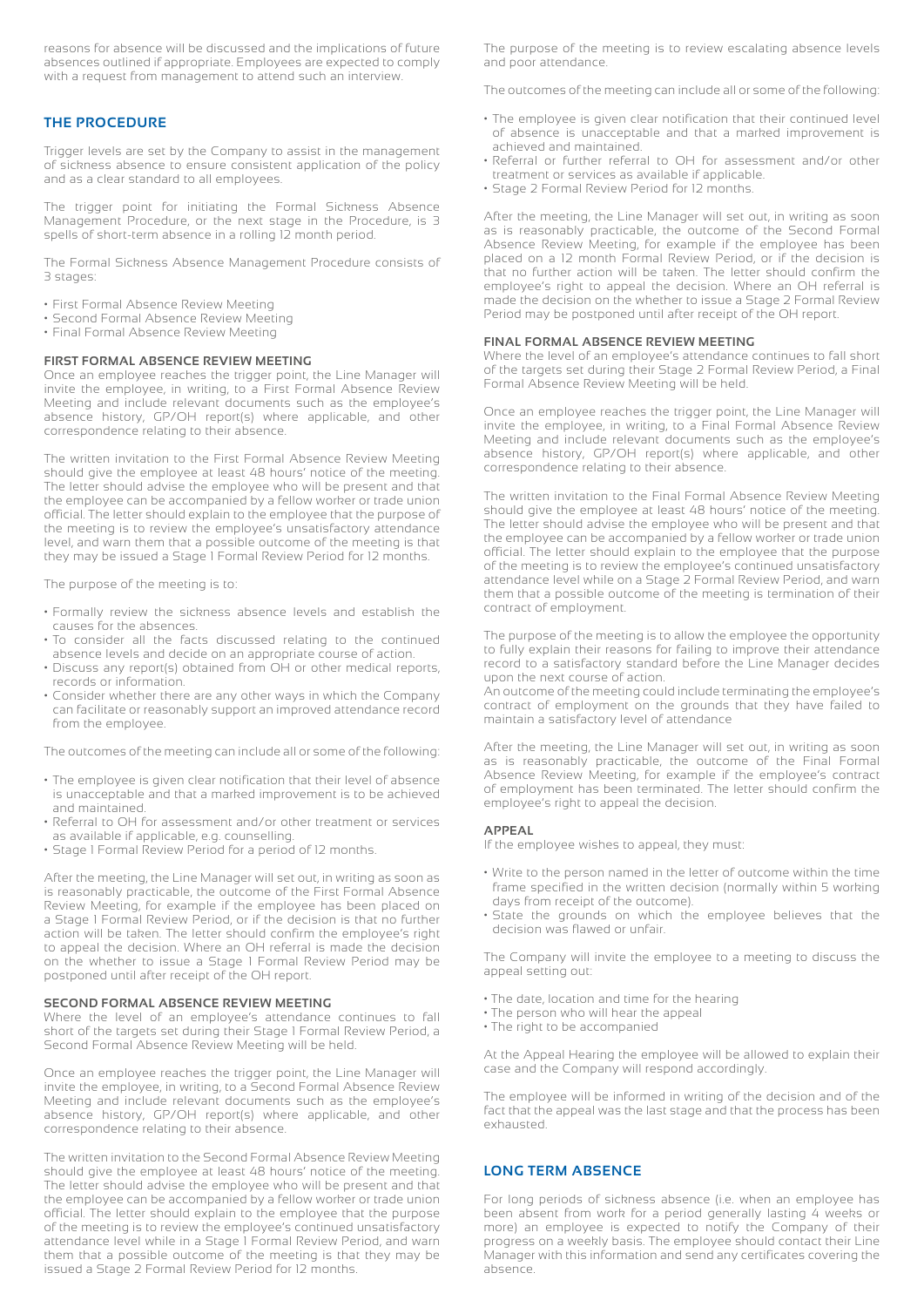reasons for absence will be discussed and the implications of future absences outlined if appropriate. Employees are expected to comply with a request from management to attend such an interview.

#### **THE PROCEDURE**

Trigger levels are set by the Company to assist in the management of sickness absence to ensure consistent application of the policy and as a clear standard to all employees.

The trigger point for initiating the Formal Sickness Absence Management Procedure, or the next stage in the Procedure, is 3 spells of short-term absence in a rolling 12 month period.

The Formal Sickness Absence Management Procedure consists of 3 stages:

- First Formal Absence Review Meeting
- Second Formal Absence Review Meeting
- Final Formal Absence Review Meeting

#### **FIRST FORMAL ABSENCE REVIEW MEETING**

Once an employee reaches the trigger point, the Line Manager will invite the employee, in writing, to a First Formal Absence Review Meeting and include relevant documents such as the employee's absence history, GP/OH report(s) where applicable, and other correspondence relating to their absence.

The written invitation to the First Formal Absence Review Meeting should give the employee at least 48 hours' notice of the meeting. The letter should advise the employee who will be present and that the employee can be accompanied by a fellow worker or trade union official. The letter should explain to the employee that the purpose of the meeting is to review the employee's unsatisfactory attendance level, and warn them that a possible outcome of the meeting is that they may be issued a Stage 1 Formal Review Period for 12 months.

The purpose of the meeting is to:

- Formally review the sickness absence levels and establish the causes for the absences.
- To consider all the facts discussed relating to the continued absence levels and decide on an appropriate course of action.
- Discuss any report(s) obtained from OH or other medical reports, records or information.
- Consider whether there are any other ways in which the Company can facilitate or reasonably support an improved attendance record from the employee.

The outcomes of the meeting can include all or some of the following:

- The employee is given clear notification that their level of absence is unacceptable and that a marked improvement is to be achieved and maintained.
- Referral to OH for assessment and/or other treatment or services as available if applicable, e.g. counselling.
- Stage 1 Formal Review Period for a period of 12 months.

After the meeting, the Line Manager will set out, in writing as soon as is reasonably practicable, the outcome of the First Formal Absence Review Meeting, for example if the employee has been placed on a Stage 1 Formal Review Period, or if the decision is that no further action will be taken. The letter should confirm the employee's right to appeal the decision. Where an OH referral is made the decision on the whether to issue a Stage 1 Formal Review Period may be postponed until after receipt of the OH report.

#### **SECOND FORMAL ABSENCE REVIEW MEETING**

Where the level of an employee's attendance continues to fall short of the targets set during their Stage 1 Formal Review Period, a Second Formal Absence Review Meeting will be held.

Once an employee reaches the trigger point, the Line Manager will invite the employee, in writing, to a Second Formal Absence Review Meeting and include relevant documents such as the employee's absence history, GP/OH report(s) where applicable, and other correspondence relating to their absence.

The written invitation to the Second Formal Absence Review Meeting should give the employee at least 48 hours' notice of the meeting. The letter should advise the employee who will be present and that the employee can be accompanied by a fellow worker or trade union official. The letter should explain to the employee that the purpose of the meeting is to review the employee's continued unsatisfactory attendance level while in a Stage 1 Formal Review Period, and warn them that a possible outcome of the meeting is that they may be issued a Stage 2 Formal Review Period for 12 months.

The purpose of the meeting is to review escalating absence levels and poor attendance.

The outcomes of the meeting can include all or some of the following:

- The employee is given clear notification that their continued level of absence is unacceptable and that a marked improvement is achieved and maintained.
- Referral or further referral to OH for assessment and/or other treatment or services as available if applicable.
- Stage 2 Formal Review Period for 12 months.

After the meeting, the Line Manager will set out, in writing as soon as is reasonably practicable, the outcome of the Second Formal Absence Review Meeting, for example if the employee has been placed on a 12 month Formal Review Period, or if the decision is that no further action will be taken. The letter should confirm the employee's right to appeal the decision. Where an OH referral is made the decision on the whether to issue a Stage 2 Formal Review Period may be postponed until after receipt of the OH report.

#### **FINAL FORMAL ABSENCE REVIEW MEETING**

Where the level of an employee's attendance continues to fall short of the targets set during their Stage 2 Formal Review Period, a Final Formal Absence Review Meeting will be held.

Once an employee reaches the trigger point, the Line Manager will invite the employee, in writing, to a Final Formal Absence Review Meeting and include relevant documents such as the employee's absence history, GP/OH report(s) where applicable, and other correspondence relating to their absence.

The written invitation to the Final Formal Absence Review Meeting should give the employee at least 48 hours' notice of the meeting. The letter should advise the employee who will be present and that the employee can be accompanied by a fellow worker or trade union official. The letter should explain to the employee that the purpose of the meeting is to review the employee's continued unsatisfactory attendance level while on a Stage 2 Formal Review Period, and warn them that a possible outcome of the meeting is termination of their contract of employment.

The purpose of the meeting is to allow the employee the opportunity to fully explain their reasons for failing to improve their attendance record to a satisfactory standard before the Line Manager decides upon the next course of action.

An outcome of the meeting could include terminating the employee's contract of employment on the grounds that they have failed to maintain a satisfactory level of attendance

After the meeting, the Line Manager will set out, in writing as soon as is reasonably practicable, the outcome of the Final Formal Absence Review Meeting, for example if the employee's contract of employment has been terminated. The letter should confirm the employee's right to appeal the decision.

#### **APPEAL**

If the employee wishes to appeal, they must:

- Write to the person named in the letter of outcome within the time frame specified in the written decision (normally within 5 working days from receipt of the outcome).
- State the grounds on which the employee believes that the decision was flawed or unfair.

The Company will invite the employee to a meeting to discuss the appeal setting out:

- The date, location and time for the hearing
- The person who will hear the appeal
- The right to be accompanied

At the Appeal Hearing the employee will be allowed to explain their case and the Company will respond accordingly.

The employee will be informed in writing of the decision and of the fact that the appeal was the last stage and that the process has been exhausted.

#### **LONG TERM ABSENCE**

For long periods of sickness absence (i.e. when an employee has been absent from work for a period generally lasting 4 weeks or more) an employee is expected to notify the Company of their progress on a weekly basis. The employee should contact their Line Manager with this information and send any certificates covering the absence.